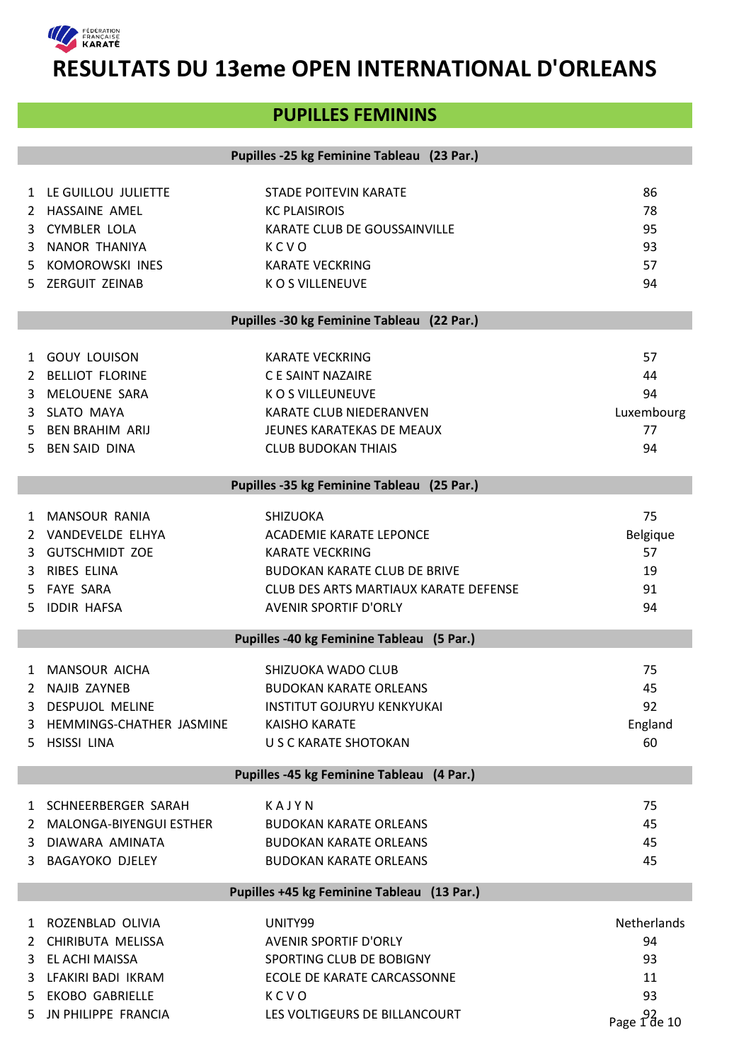

# **PUPILLES FEMININS**

|               |                                     | Pupilles -25 kg Feminine Tableau (23 Par.) |                               |
|---------------|-------------------------------------|--------------------------------------------|-------------------------------|
|               |                                     |                                            |                               |
|               | 1 LE GUILLOU JULIETTE               | <b>STADE POITEVIN KARATE</b>               | 86                            |
| $\mathcal{L}$ | HASSAINE AMEL                       | <b>KC PLAISIROIS</b>                       | 78                            |
| 3             | <b>CYMBLER LOLA</b>                 | KARATE CLUB DE GOUSSAINVILLE               | 95                            |
|               | NANOR THANIYA                       |                                            | 93                            |
| 3             |                                     | KCVO                                       |                               |
| 5             | <b>KOMOROWSKI INES</b>              | <b>KARATE VECKRING</b>                     | 57                            |
|               | 5 ZERGUIT ZEINAB                    | <b>KOS VILLENEUVE</b>                      | 94                            |
|               |                                     | Pupilles -30 kg Feminine Tableau (22 Par.) |                               |
|               |                                     |                                            |                               |
|               | 1 GOUY LOUISON                      | <b>KARATE VECKRING</b>                     | 57                            |
|               | 2 BELLIOT FLORINE                   | C E SAINT NAZAIRE                          | 44                            |
| 3             | MELOUENE SARA                       | K O S VILLEUNEUVE                          | 94                            |
| 3             | SLATO MAYA                          | KARATE CLUB NIEDERANVEN                    | Luxembourg                    |
| 5.            | <b>BEN BRAHIM ARIJ</b>              | JEUNES KARATEKAS DE MEAUX                  | 77                            |
| 5.            | <b>BEN SAID DINA</b>                | <b>CLUB BUDOKAN THIAIS</b>                 | 94                            |
|               |                                     | Pupilles -35 kg Feminine Tableau (25 Par.) |                               |
|               |                                     |                                            |                               |
| $\mathbf{1}$  | <b>MANSOUR RANIA</b>                | SHIZUOKA                                   | 75                            |
|               | 2 VANDEVELDE ELHYA                  | <b>ACADEMIE KARATE LEPONCE</b>             | Belgique                      |
| 3             | <b>GUTSCHMIDT ZOE</b>               | <b>KARATE VECKRING</b>                     | 57                            |
| 3             | RIBES ELINA                         | <b>BUDOKAN KARATE CLUB DE BRIVE</b>        | 19                            |
| 5.            | <b>FAYE SARA</b>                    | CLUB DES ARTS MARTIAUX KARATE DEFENSE      | 91                            |
| 5.            | <b>IDDIR HAFSA</b>                  | <b>AVENIR SPORTIF D'ORLY</b>               | 94                            |
|               |                                     | Pupilles -40 kg Feminine Tableau (5 Par.)  |                               |
|               |                                     | SHIZUOKA WADO CLUB                         | 75                            |
|               | 1 MANSOUR AICHA                     |                                            | 45                            |
|               | 2 NAJIB ZAYNEB<br>3 DESPUJOL MELINE | <b>BUDOKAN KARATE ORLEANS</b>              | 92                            |
|               |                                     | <b>INSTITUT GOJURYU KENKYUKAI</b>          |                               |
| 3             | HEMMINGS-CHATHER JASMINE            | <b>KAISHO KARATE</b>                       | England                       |
| 5.            | <b>HSISSI LINA</b>                  | U S C KARATE SHOTOKAN                      | 60                            |
|               |                                     | Pupilles -45 kg Feminine Tableau (4 Par.)  |                               |
|               | 1 SCHNEERBERGER SARAH               | KAJYN                                      | 75                            |
| 2             | <b>MALONGA-BIYENGUI ESTHER</b>      | <b>BUDOKAN KARATE ORLEANS</b>              | 45                            |
| 3             | DIAWARA AMINATA                     | <b>BUDOKAN KARATE ORLEANS</b>              | 45                            |
| 3             | <b>BAGAYOKO DJELEY</b>              | <b>BUDOKAN KARATE ORLEANS</b>              | 45                            |
|               |                                     | Pupilles +45 kg Feminine Tableau (13 Par.) |                               |
| 1             | ROZENBLAD OLIVIA                    | UNITY99                                    | Netherlands                   |
| 2             | CHIRIBUTA MELISSA                   | <b>AVENIR SPORTIF D'ORLY</b>               | 94                            |
|               | EL ACHI MAISSA                      | SPORTING CLUB DE BOBIGNY                   | 93                            |
| 3             |                                     |                                            | 11                            |
| 3             | LFAKIRI BADI IKRAM                  | ECOLE DE KARATE CARCASSONNE                | 93                            |
| 5.            | <b>EKOBO GABRIELLE</b>              | KCVO                                       |                               |
| 5.            | JN PHILIPPE FRANCIA                 | LES VOLTIGEURS DE BILLANCOURT              | Page $1\overline{d}$ and $10$ |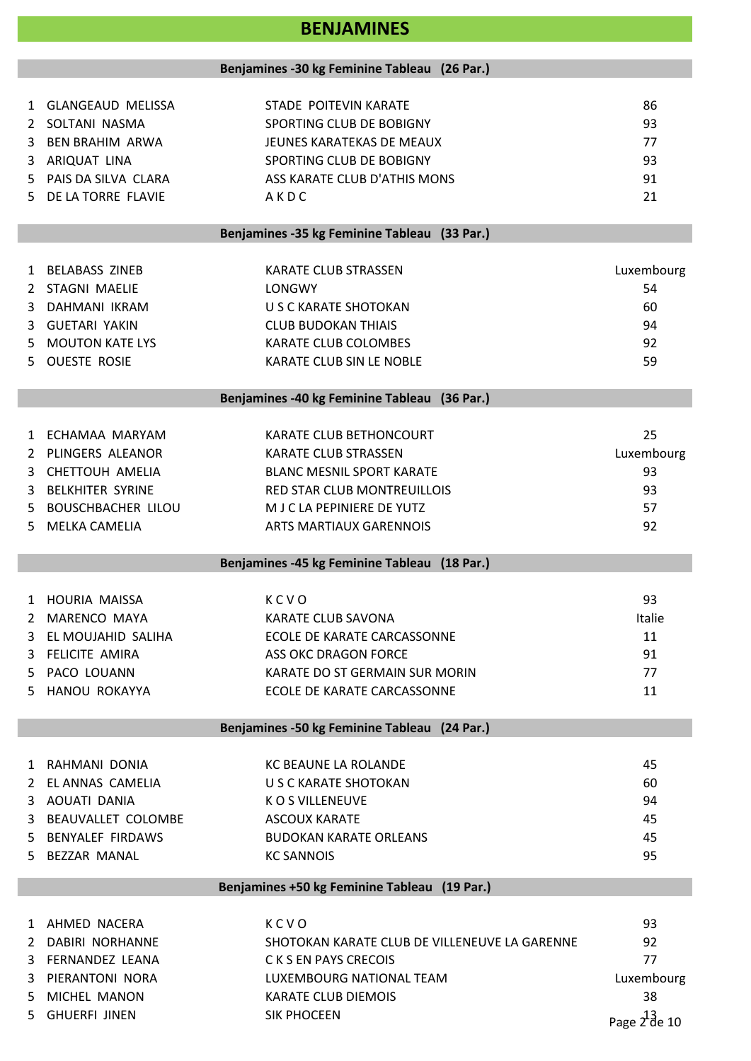# **BENJAMINES**

|    |                                              | Benjamines -30 kg Feminine Tableau (26 Par.) |            |  |
|----|----------------------------------------------|----------------------------------------------|------------|--|
|    |                                              |                                              |            |  |
|    | 1 GLANGEAUD MELISSA                          | STADE POITEVIN KARATE                        | 86         |  |
|    | 2 SOLTANI NASMA                              | SPORTING CLUB DE BOBIGNY                     | 93         |  |
|    | 3 BEN BRAHIM ARWA                            | JEUNES KARATEKAS DE MEAUX                    | 77         |  |
|    | 3 ARIQUAT LINA                               | SPORTING CLUB DE BOBIGNY                     | 93         |  |
|    | 5 PAIS DA SILVA CLARA                        | ASS KARATE CLUB D'ATHIS MONS                 | 91         |  |
|    | 5 DE LA TORRE FLAVIE                         | AKDC                                         | 21         |  |
|    |                                              | Benjamines -35 kg Feminine Tableau (33 Par.) |            |  |
|    |                                              |                                              |            |  |
|    | 1 BELABASS ZINEB                             | <b>KARATE CLUB STRASSEN</b>                  | Luxembourg |  |
|    | 2 STAGNI MAELIE                              | LONGWY                                       | 54         |  |
|    | 3 DAHMANI IKRAM                              | U S C KARATE SHOTOKAN                        | 60         |  |
|    | 3 GUETARI YAKIN                              | <b>CLUB BUDOKAN THIAIS</b>                   | 94         |  |
| 5. | <b>MOUTON KATE LYS</b>                       | KARATE CLUB COLOMBES                         | 92         |  |
| 5. | <b>OUESTE ROSIE</b>                          | KARATE CLUB SIN LE NOBLE                     | 59         |  |
|    |                                              | Benjamines -40 kg Feminine Tableau (36 Par.) |            |  |
|    |                                              |                                              |            |  |
|    | 1 ECHAMAA MARYAM                             | KARATE CLUB BETHONCOURT                      | 25         |  |
|    | 2 PLINGERS ALEANOR                           | <b>KARATE CLUB STRASSEN</b>                  | Luxembourg |  |
|    | 3 CHETTOUH AMELIA                            | <b>BLANC MESNIL SPORT KARATE</b>             | 93         |  |
|    | 3 BELKHITER SYRINE                           | RED STAR CLUB MONTREUILLOIS                  | 93         |  |
|    | 5 BOUSCHBACHER LILOU                         | M J C LA PEPINIERE DE YUTZ                   | 57         |  |
|    | 5 MELKA CAMELIA                              | <b>ARTS MARTIAUX GARENNOIS</b>               | 92         |  |
|    | Benjamines -45 kg Feminine Tableau (18 Par.) |                                              |            |  |

| 1 HOURIA MAISSA      | KCVO                           | 93            |
|----------------------|--------------------------------|---------------|
| 2 MARENCO MAYA       | KARATE CLUB SAVONA             | <b>Italie</b> |
| 3 EL MOUJAHID SALIHA | ECOLE DE KARATE CARCASSONNE    | 11            |
| 3 FELICITE AMIRA     | ASS OKC DRAGON FORCE           | 91            |
| 5 PACO LOUANN        | KARATE DO ST GERMAIN SUR MORIN | 77            |
| 5 HANOU ROKAYYA      | ECOLE DE KARATE CARCASSONNE    | 11            |

### **Benjamines -50 kg Feminine Tableau (24 Par.)**

| 1 RAHMANI DONIA      | KC BEAUNE LA ROLANDE   | 45 |
|----------------------|------------------------|----|
| 2 EL ANNAS CAMELIA   | U S C KARATE SHOTOKAN  | 60 |
| 3 AOUATI DANIA       | K O S VILLENEUVE       | 94 |
| 3 BEAUVALLET COLOMBE | ASCOUX KARATE          | 45 |
| 5 BENYALEF FIRDAWS   | BUDOKAN KARATE ORLEANS | 45 |
| 5 BEZZAR MANAL       | <b>KC SANNOIS</b>      | 95 |
|                      |                        |    |

### **Benjamines +50 kg Feminine Tableau (19 Par.)**

| 1 AHMED NACERA    | KCVO                                          | 93                           |
|-------------------|-----------------------------------------------|------------------------------|
| 2 DABIRI NORHANNE | SHOTOKAN KARATE CLUB DE VILLENEUVE LA GARENNE | 92                           |
| 3 FERNANDEZ LEANA | C K S EN PAYS CRECOIS                         | 77                           |
| 3 PIERANTONI NORA | LUXEMBOURG NATIONAL TEAM                      | Luxembourg                   |
| 5 MICHEL MANON    | KARATE CLUB DIEMOIS                           | 38                           |
| 5 GHUERFI JINEN   | SIK PHOCEEN                                   | Page $2^{\frac{1}{2}}$ de 10 |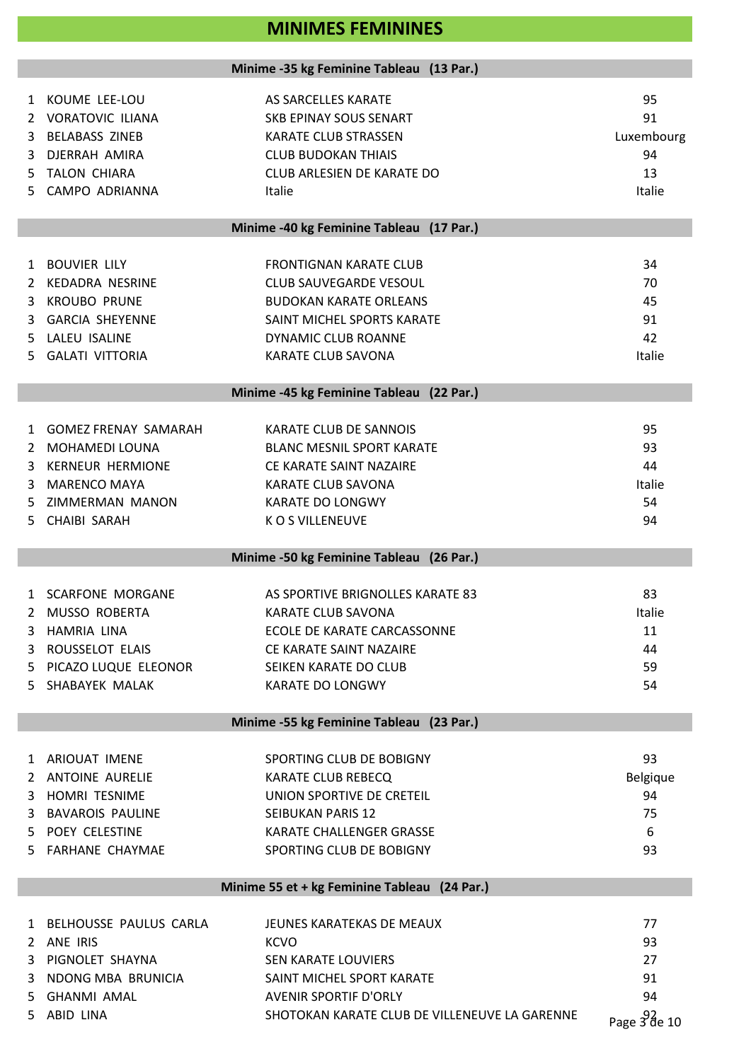# **MINIMES FEMININES**

### **Minime -35 kg Feminine Tableau (13 Par.)**

|    | 1 KOUME LEE-LOU             | AS SARCELLES KARATE                           | 95               |
|----|-----------------------------|-----------------------------------------------|------------------|
| 2  | <b>VORATOVIC ILIANA</b>     | <b>SKB EPINAY SOUS SENART</b>                 | 91               |
| 3  | <b>BELABASS ZINEB</b>       | <b>KARATE CLUB STRASSEN</b>                   | Luxembourg       |
| 3  | DJERRAH AMIRA               | <b>CLUB BUDOKAN THIAIS</b>                    | 94               |
| 5. | <b>TALON CHIARA</b>         | CLUB ARLESIEN DE KARATE DO                    | 13               |
|    | CAMPO ADRIANNA              |                                               | Italie           |
| 5. |                             | Italie                                        |                  |
|    |                             | Minime -40 kg Feminine Tableau (17 Par.)      |                  |
| 1  | <b>BOUVIER LILY</b>         | <b>FRONTIGNAN KARATE CLUB</b>                 | 34               |
| 2  | KEDADRA NESRINE             | <b>CLUB SAUVEGARDE VESOUL</b>                 | 70               |
| 3  | <b>KROUBO PRUNE</b>         | <b>BUDOKAN KARATE ORLEANS</b>                 | 45               |
| 3  | <b>GARCIA SHEYENNE</b>      | SAINT MICHEL SPORTS KARATE                    | 91               |
| 5. | LALEU ISALINE               | <b>DYNAMIC CLUB ROANNE</b>                    | 42               |
| 5. | <b>GALATI VITTORIA</b>      | <b>KARATE CLUB SAVONA</b>                     | Italie           |
|    |                             |                                               |                  |
|    |                             | Minime -45 kg Feminine Tableau (22 Par.)      |                  |
| 1  | <b>GOMEZ FRENAY SAMARAH</b> | KARATE CLUB DE SANNOIS                        | 95               |
| 2  | MOHAMEDI LOUNA              | <b>BLANC MESNIL SPORT KARATE</b>              | 93               |
| 3  | <b>KERNEUR HERMIONE</b>     | CE KARATE SAINT NAZAIRE                       | 44               |
| 3  | <b>MARENCO MAYA</b>         | KARATE CLUB SAVONA                            | Italie           |
| 5  | ZIMMERMAN MANON             | <b>KARATE DO LONGWY</b>                       | 54               |
| 5. | CHAIBI SARAH                | K O S VILLENEUVE                              | 94               |
|    |                             |                                               |                  |
|    |                             | Minime -50 kg Feminine Tableau (26 Par.)      |                  |
| 1  | <b>SCARFONE MORGANE</b>     | AS SPORTIVE BRIGNOLLES KARATE 83              | 83               |
| 2  | <b>MUSSO ROBERTA</b>        | <b>KARATE CLUB SAVONA</b>                     | Italie           |
| 3  | <b>HAMRIA LINA</b>          | <b>ECOLE DE KARATE CARCASSONNE</b>            | 11               |
| 3. | ROUSSELOT ELAIS             | CE KARATE SAINT NAZAIRE                       | 44               |
| 5. | PICAZO LUQUE ELEONOR        | SEIKEN KARATE DO CLUB                         | 59               |
| 5. | SHABAYEK MALAK              | KARATE DO LONGWY                              | 54               |
|    |                             | Minime -55 kg Feminine Tableau (23 Par.)      |                  |
|    |                             |                                               |                  |
| 1  | ARIOUAT IMENE               | SPORTING CLUB DE BOBIGNY                      | 93               |
| 2  | <b>ANTOINE AURELIE</b>      | KARATE CLUB REBECQ                            | Belgique         |
| 3  | HOMRI TESNIME               | UNION SPORTIVE DE CRETEIL                     | 94               |
| 3  | <b>BAVAROIS PAULINE</b>     | <b>SEIBUKAN PARIS 12</b>                      | 75               |
| 5. | POEY CELESTINE              | <b>KARATE CHALLENGER GRASSE</b>               | 6                |
| 5. | FARHANE CHAYMAE             | SPORTING CLUB DE BOBIGNY                      | 93               |
|    |                             | Minime 55 et + kg Feminine Tableau (24 Par.)  |                  |
|    |                             |                                               |                  |
| 1  | BELHOUSSE PAULUS CARLA      | JEUNES KARATEKAS DE MEAUX                     | 77               |
| 2  | ANE IRIS                    | <b>KCVO</b>                                   | 93               |
| 3  | PIGNOLET SHAYNA             | <b>SEN KARATE LOUVIERS</b>                    | 27               |
| 3  | NDONG MBA BRUNICIA          | SAINT MICHEL SPORT KARATE                     | 91               |
| 5. | <b>GHANMI AMAL</b>          | <b>AVENIR SPORTIF D'ORLY</b>                  | 94               |
| 5. | ABID LINA                   | SHOTOKAN KARATE CLUB DE VILLENEUVE LA GARENNE | Page $392$ de 10 |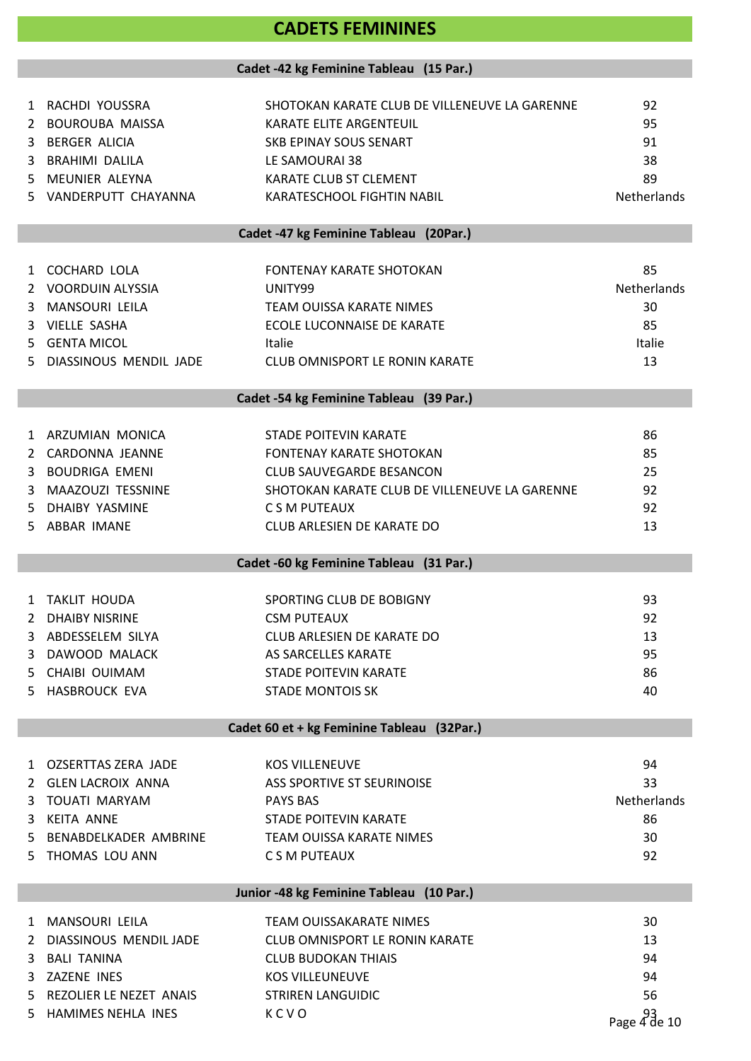# **CADETS FEMININES**

#### **Cadet -42 kg Feminine Tableau (15 Par.)**

|    | 1 RACHDI YOUSSRA        | SHOTOKAN KARATE CLUB DE VILLENEUVE LA GARENNE | 92           |
|----|-------------------------|-----------------------------------------------|--------------|
| 2  | BOUROUBA MAISSA         | <b>KARATE ELITE ARGENTEUIL</b>                | 95           |
| 3  | <b>BERGER ALICIA</b>    | SKB EPINAY SOUS SENART                        | 91           |
| 3  | <b>BRAHIMI DALILA</b>   | LE SAMOURAI 38                                | 38           |
| 5. | MEUNIER ALEYNA          | KARATE CLUB ST CLEMENT                        | 89           |
| 5. | VANDERPUTT CHAYANNA     | KARATESCHOOL FIGHTIN NABIL                    | Netherlands  |
|    |                         |                                               |              |
|    |                         | Cadet -47 kg Feminine Tableau (20Par.)        |              |
| 1  | <b>COCHARD LOLA</b>     | <b>FONTENAY KARATE SHOTOKAN</b>               | 85           |
| 2  | VOORDUIN ALYSSIA        | UNITY99                                       | Netherlands  |
|    |                         |                                               |              |
| 3  | MANSOURI LEILA          | <b>TEAM OUISSA KARATE NIMES</b>               | 30           |
| 3  | VIELLE SASHA            | ECOLE LUCONNAISE DE KARATE                    | 85           |
|    | 5 GENTA MICOL           | <b>Italie</b>                                 | Italie       |
| 5. | DIASSINOUS MENDIL JADE  | <b>CLUB OMNISPORT LE RONIN KARATE</b>         | 13           |
|    |                         | Cadet -54 kg Feminine Tableau (39 Par.)       |              |
|    |                         |                                               |              |
| 1  | ARZUMIAN MONICA         | <b>STADE POITEVIN KARATE</b>                  | 86           |
| 2  | CARDONNA JEANNE         | <b>FONTENAY KARATE SHOTOKAN</b>               | 85           |
| 3  | <b>BOUDRIGA EMENI</b>   | <b>CLUB SAUVEGARDE BESANCON</b>               | 25           |
| 3  | MAAZOUZI TESSNINE       | SHOTOKAN KARATE CLUB DE VILLENEUVE LA GARENNE | 92           |
| 5. | DHAIBY YASMINE          | C S M PUTEAUX                                 | 92           |
| 5. | ABBAR IMANE             | CLUB ARLESIEN DE KARATE DO                    | 13           |
|    |                         |                                               |              |
|    |                         | Cadet -60 kg Feminine Tableau (31 Par.)       |              |
| 1  | TAKLIT HOUDA            | SPORTING CLUB DE BOBIGNY                      | 93           |
| 2  | <b>DHAIBY NISRINE</b>   | <b>CSM PUTEAUX</b>                            | 92           |
|    | 3 ABDESSELEM SILYA      | CLUB ARLESIEN DE KARATE DO                    | 13           |
| 3  | DAWOOD MALACK           | AS SARCELLES KARATE                           | 95           |
|    | 5 CHAIBI OUIMAM         | <b>STADE POITEVIN KARATE</b>                  | 86           |
|    | 5 HASBROUCK EVA         |                                               |              |
|    |                         | <b>STADE MONTOIS SK</b>                       | 40           |
|    |                         | Cadet 60 et + kg Feminine Tableau (32Par.)    |              |
|    |                         |                                               |              |
|    | 1 OZSERTTAS ZERA JADE   | <b>KOS VILLENEUVE</b>                         | 94           |
|    | 2 GLEN LACROIX ANNA     | ASS SPORTIVE ST SEURINOISE                    | 33           |
| 3  | <b>TOUATI MARYAM</b>    | <b>PAYS BAS</b>                               | Netherlands  |
| 3  | <b>KEITA ANNE</b>       | <b>STADE POITEVIN KARATE</b>                  | 86           |
| 5. | BENABDELKADER AMBRINE   | TEAM OUISSA KARATE NIMES                      | 30           |
| 5. | THOMAS LOU ANN          | C S M PUTEAUX                                 | 92           |
|    |                         | Junior -48 kg Feminine Tableau (10 Par.)      |              |
| 1  | MANSOURI LEILA          | TEAM OUISSAKARATE NIMES                       | 30           |
| 2  | DIASSINOUS MENDIL JADE  | <b>CLUB OMNISPORT LE RONIN KARATE</b>         | 13           |
| 3  | <b>BALI TANINA</b>      | <b>CLUB BUDOKAN THIAIS</b>                    | 94           |
| 3  | ZAZENE INES             | <b>KOS VILLEUNEUVE</b>                        | 94           |
|    |                         |                                               |              |
| 5. | REZOLIER LE NEZET ANAIS | <b>STRIREN LANGUIDIC</b>                      | 56           |
|    | 5 HAMIMES NEHLA INES    | KCVO                                          | Page 4 de 10 |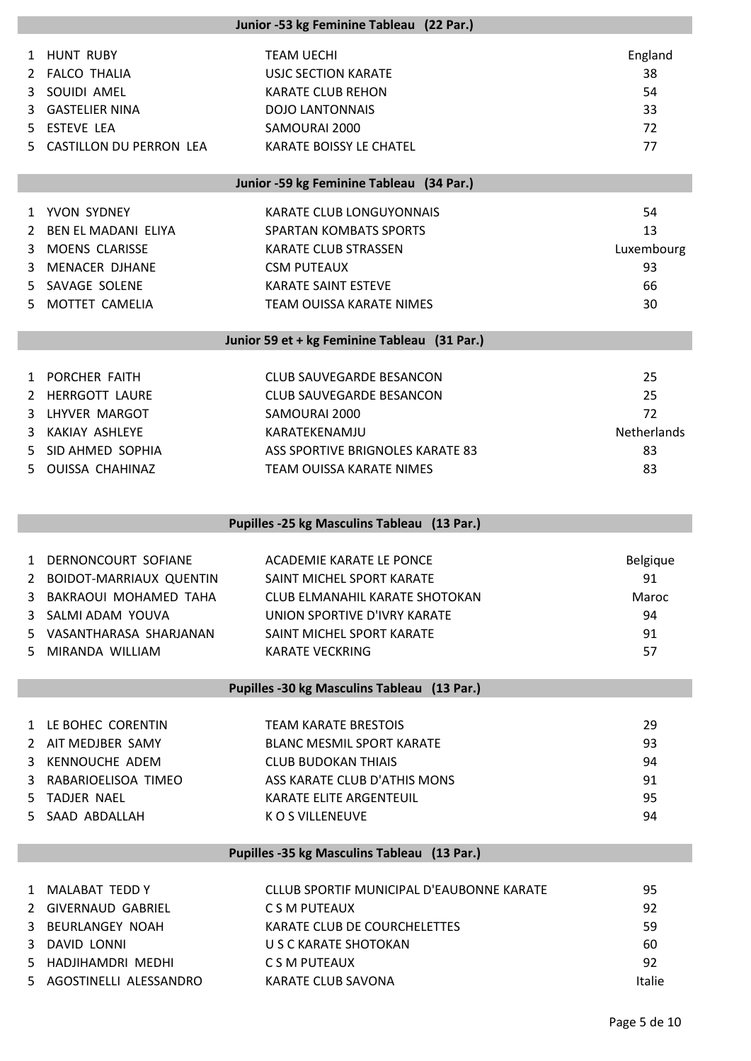|                   | Junior -53 kg Feminine Tableau (22 Par.) |                                                 |               |  |
|-------------------|------------------------------------------|-------------------------------------------------|---------------|--|
| $\mathbf{1}$<br>2 | <b>HUNT RUBY</b><br>FALCO THALIA         | <b>TEAM UECHI</b><br><b>USJC SECTION KARATE</b> | England<br>38 |  |
| 3.                | SOUIDI AMEL                              | <b>KARATE CLUB REHON</b>                        | 54            |  |
| 3                 | <b>GASTELIER NINA</b>                    | <b>DOJO LANTONNAIS</b>                          | 33            |  |
|                   |                                          |                                                 |               |  |
| 5.                | <b>ESTEVE LEA</b>                        | SAMOURAI 2000                                   | 72            |  |
| 5.                | CASTILLON DU PERRON LEA                  | KARATE BOISSY LE CHATEL                         | 77            |  |
|                   |                                          | Junior -59 kg Feminine Tableau (34 Par.)        |               |  |
|                   | 1 YVON SYDNEY                            | KARATE CLUB LONGUYONNAIS                        | 54            |  |
| 2                 | BEN EL MADANI ELIYA                      | <b>SPARTAN KOMBATS SPORTS</b>                   | 13            |  |
| 3                 | <b>MOENS CLARISSE</b>                    | <b>KARATE CLUB STRASSEN</b>                     | Luxembourg    |  |
| 3                 | <b>MENACER DJHANE</b>                    | <b>CSM PUTEAUX</b>                              | 93            |  |
| 5.                | SAVAGE SOLENE                            | <b>KARATE SAINT ESTEVE</b>                      | 66            |  |
| 5.                | MOTTET CAMELIA                           | TEAM OUISSA KARATE NIMES                        | 30            |  |
|                   |                                          |                                                 |               |  |
|                   |                                          | Junior 59 et + kg Feminine Tableau (31 Par.)    |               |  |
|                   | 1 PORCHER FAITH                          | <b>CLUB SAUVEGARDE BESANCON</b>                 | 25            |  |
| 2                 | <b>HERRGOTT LAURE</b>                    | <b>CLUB SAUVEGARDE BESANCON</b>                 | 25            |  |
| 3                 | LHYVER MARGOT                            | SAMOURAI 2000                                   | 72            |  |
|                   |                                          |                                                 |               |  |
| 3                 | <b>KAKIAY ASHLEYE</b>                    | KARATEKENAMJU                                   | Netherlands   |  |
| 5.                | SID AHMED SOPHIA                         | ASS SPORTIVE BRIGNOLES KARATE 83                | 83            |  |
| 5.                | OUISSA CHAHINAZ                          | TEAM OUISSA KARATE NIMES                        | 83            |  |
|                   |                                          |                                                 |               |  |
|                   |                                          | Pupilles -25 kg Masculins Tableau (13 Par.)     |               |  |
|                   |                                          |                                                 |               |  |
|                   | 1 DERNONCOURT SOFIANE                    | ACADEMIE KARATE LE PONCE                        | Belgique      |  |
| 2                 | <b>BOIDOT-MARRIAUX QUENTIN</b>           | SAINT MICHEL SPORT KARATE                       | 91            |  |
|                   | 3 BAKRAOUI MOHAMED TAHA                  | <b>CLUB ELMANAHIL KARATE SHOTOKAN</b>           | Maroc         |  |
|                   | 3 SALMI ADAM YOUVA                       | UNION SPORTIVE D'IVRY KARATE                    | 94            |  |
|                   | 5 VASANTHARASA SHARJANAN                 | SAINT MICHEL SPORT KARATE                       | 91            |  |
|                   | 5 MIRANDA WILLIAM                        | <b>KARATE VECKRING</b>                          | 57            |  |
|                   |                                          |                                                 |               |  |
|                   |                                          | Pupilles -30 kg Masculins Tableau (13 Par.)     |               |  |
|                   | 1 LE BOHEC CORENTIN                      | <b>TEAM KARATE BRESTOIS</b>                     | 29            |  |
|                   | 2 AIT MEDJBER SAMY                       | <b>BLANC MESMIL SPORT KARATE</b>                | 93            |  |
|                   | 3 KENNOUCHE ADEM                         | <b>CLUB BUDOKAN THIAIS</b>                      | 94            |  |
|                   | 3 RABARIOELISOA TIMEO                    | ASS KARATE CLUB D'ATHIS MONS                    | 91            |  |
| 5.                | TADJER NAEL                              | KARATE ELITE ARGENTEUIL                         | 95            |  |
|                   | 5 SAAD ABDALLAH                          | K O S VILLENEUVE                                | 94            |  |
|                   |                                          |                                                 |               |  |
|                   |                                          | Pupilles -35 kg Masculins Tableau (13 Par.)     |               |  |
|                   | 1 MALABAT TEDD Y                         | CLLUB SPORTIF MUNICIPAL D'EAUBONNE KARATE       | 95            |  |
|                   | 2 GIVERNAUD GABRIEL                      | C S M PUTEAUX                                   | 92            |  |
|                   | 3 BEURLANGEY NOAH                        | KARATE CLUB DE COURCHELETTES                    | 59            |  |
|                   | 3 DAVID LONNI                            | U S C KARATE SHOTOKAN                           | 60            |  |
| 5.                | HADJIHAMDRI MEDHI                        | C S M PUTEAUX                                   | 92            |  |
|                   | 5 AGOSTINELLI ALESSANDRO                 | KARATE CLUB SAVONA                              | Italie        |  |
|                   |                                          |                                                 |               |  |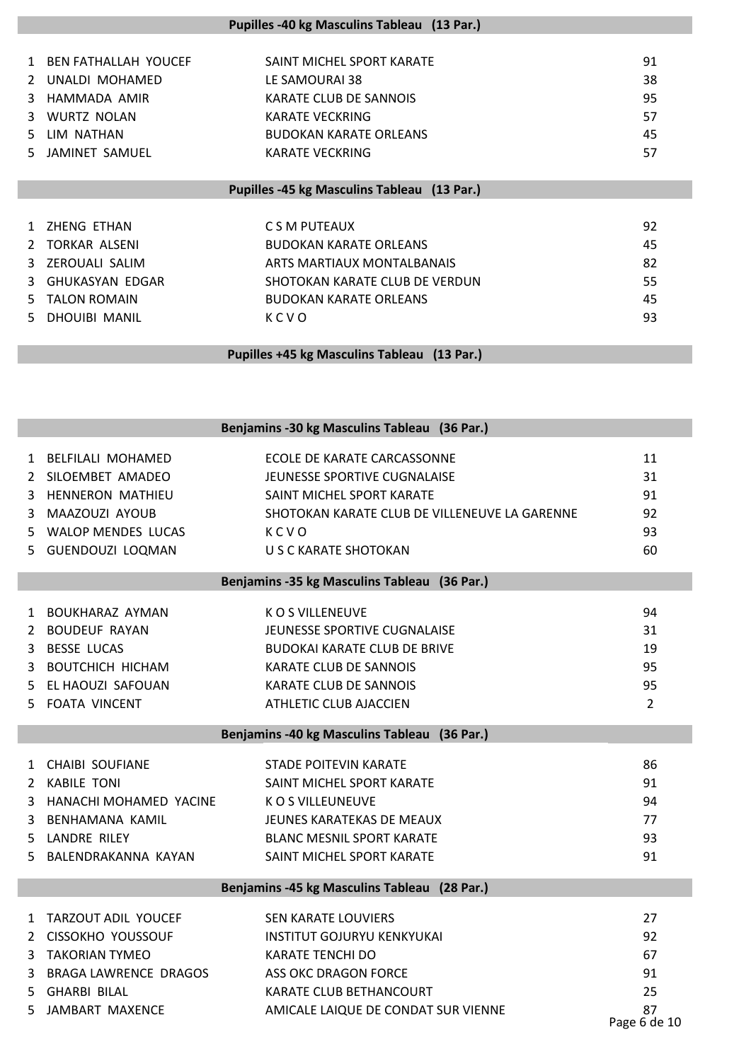|               | Pupilles -40 kg Masculins Tableau (13 Par.) |                                |    |  |
|---------------|---------------------------------------------|--------------------------------|----|--|
|               |                                             |                                |    |  |
| 1             | <b>BEN FATHALLAH YOUCEF</b>                 | SAINT MICHEL SPORT KARATE      | 91 |  |
|               | UNALDI MOHAMED                              | LE SAMOURAI 38                 | 38 |  |
| 3.            | HAMMADA AMIR                                | KARATE CLUB DE SANNOIS         | 95 |  |
| 3             | <b>WURTZ NOLAN</b>                          | <b>KARATE VECKRING</b>         | 57 |  |
| 5.            | LIM NATHAN                                  | <b>BUDOKAN KARATE ORLEANS</b>  | 45 |  |
| 5.            | JAMINET SAMUEL                              | <b>KARATE VECKRING</b>         | 57 |  |
|               |                                             |                                |    |  |
|               | Pupilles -45 kg Masculins Tableau (13 Par.) |                                |    |  |
|               |                                             |                                |    |  |
|               | ZHENG ETHAN                                 | C S M PUTEAUX                  | 92 |  |
| $\mathcal{L}$ | <b>TORKAR ALSENI</b>                        | <b>BUDOKAN KARATE ORLEANS</b>  | 45 |  |
| 3             | ZEROUALI SALIM                              | ARTS MARTIAUX MONTALBANAIS     | 82 |  |
| 3             | <b>GHUKASYAN EDGAR</b>                      | SHOTOKAN KARATE CLUB DE VERDUN | 55 |  |
| 5.            | <b>TALON ROMAIN</b>                         | <b>BUDOKAN KARATE ORLEANS</b>  | 45 |  |
| 5.            | <b>DHOUIBI MANIL</b>                        | KCVO                           | 93 |  |
|               |                                             |                                |    |  |
|               | Pupilles +45 kg Masculins Tableau (13 Par.) |                                |    |  |

|         |                                                     | Benjamins -30 kg Masculins Tableau (36 Par.)                |                |
|---------|-----------------------------------------------------|-------------------------------------------------------------|----------------|
| 2       | 1 BELFILALI MOHAMED<br>SILOEMBET AMADEO             | ECOLE DE KARATE CARCASSONNE<br>JEUNESSE SPORTIVE CUGNALAISE | 11<br>31       |
|         | 3 HENNERON MATHIEU                                  | SAINT MICHEL SPORT KARATE                                   | 91             |
| 3       | MAAZOUZI AYOUB                                      | SHOTOKAN KARATE CLUB DE VILLENEUVE LA GARENNE               | 92             |
| 5       | <b>WALOP MENDES LUCAS</b>                           | KCVO                                                        | 93             |
|         | 5 GUENDOUZI LOQMAN                                  | U S C KARATE SHOTOKAN                                       | 60             |
|         |                                                     | Benjamins -35 kg Masculins Tableau (36 Par.)                |                |
|         |                                                     |                                                             |                |
|         | 1 BOUKHARAZ AYMAN                                   | K O S VILLENEUVE                                            | 94             |
|         | 2 BOUDEUF RAYAN                                     | JEUNESSE SPORTIVE CUGNALAISE                                | 31             |
|         | 3 BESSE LUCAS                                       | <b>BUDOKAI KARATE CLUB DE BRIVE</b>                         | 19             |
| 3       | BOUTCHICH HICHAM                                    | <b>KARATE CLUB DE SANNOIS</b>                               | 95             |
| 5.      | EL HAOUZI SAFOUAN                                   | KARATE CLUB DE SANNOIS                                      | 95             |
| 5.      | <b>FOATA VINCENT</b>                                | ATHLETIC CLUB AJACCIEN                                      | $\overline{2}$ |
|         |                                                     | Benjamins -40 kg Masculins Tableau (36 Par.)                |                |
|         | 1 CHAIBI SOUFIANE                                   | <b>STADE POITEVIN KARATE</b>                                | 86             |
|         | 2 KABILE TONI                                       | SAINT MICHEL SPORT KARATE                                   | 91             |
| 3       | HANACHI MOHAMED YACINE                              | <b>KOS VILLEUNEUVE</b>                                      | 94             |
| 3       | BENHAMANA KAMIL                                     | JEUNES KARATEKAS DE MEAUX                                   | 77             |
| 5.      | LANDRE RILEY                                        | <b>BLANC MESNIL SPORT KARATE</b>                            | 93             |
| 5.      |                                                     |                                                             |                |
|         | BALENDRAKANNA KAYAN                                 | SAINT MICHEL SPORT KARATE                                   | 91             |
|         |                                                     | Benjamins -45 kg Masculins Tableau (28 Par.)                |                |
|         |                                                     |                                                             |                |
|         |                                                     |                                                             |                |
| 1       | TARZOUT ADIL YOUCEF                                 | <b>SEN KARATE LOUVIERS</b>                                  | 27             |
|         | 2 CISSOKHO YOUSSOUF                                 | <b>INSTITUT GOJURYU KENKYUKAI</b>                           | 92             |
| 3       | <b>TAKORIAN TYMEO</b>                               | <b>KARATE TENCHI DO</b>                                     | 67             |
| 3<br>5. | <b>BRAGA LAWRENCE DRAGOS</b><br><b>GHARBI BILAL</b> | ASS OKC DRAGON FORCE<br>KARATE CLUB BETHANCOURT             | 91<br>25       |

87<br>Page 6 de 10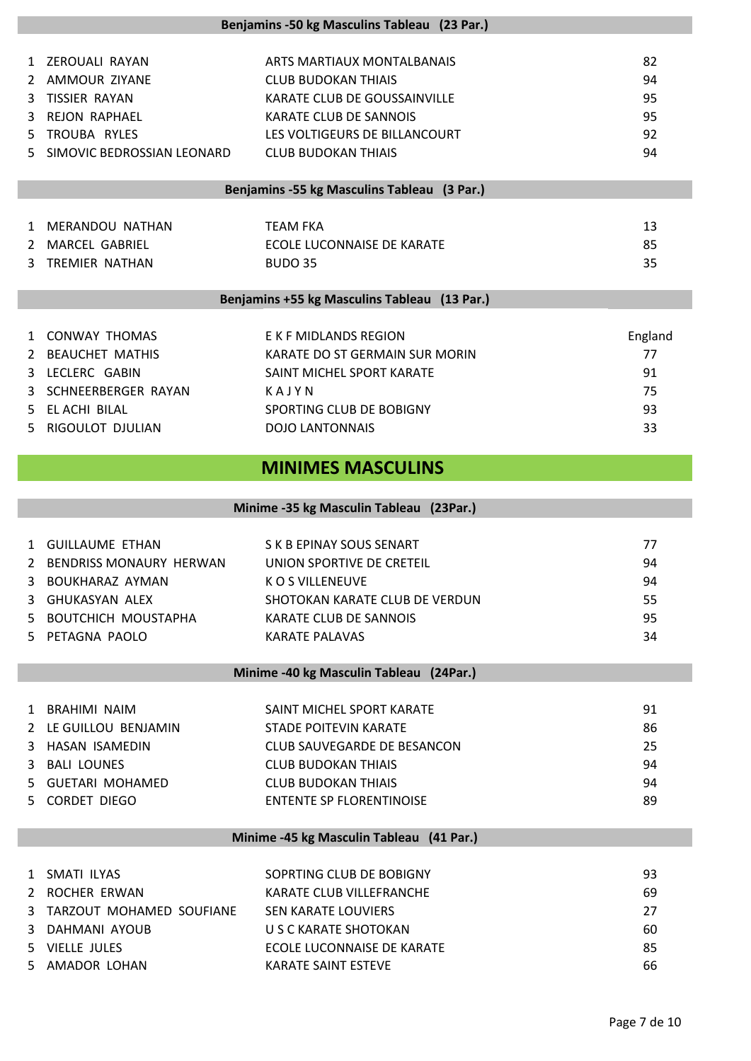|    |                              | Benjamins -50 kg Masculins Tableau (23 Par.) |         |
|----|------------------------------|----------------------------------------------|---------|
|    | 1 ZEROUALI RAYAN             | ARTS MARTIAUX MONTALBANAIS                   | 82      |
|    | 2 AMMOUR ZIYANE              | <b>CLUB BUDOKAN THIAIS</b>                   | 94      |
| 3  | <b>TISSIER RAYAN</b>         | KARATE CLUB DE GOUSSAINVILLE                 | 95      |
| 3  | REJON RAPHAEL                | KARATE CLUB DE SANNOIS                       | 95      |
| 5. | TROUBA RYLES                 | LES VOLTIGEURS DE BILLANCOURT                | 92      |
|    | 5 SIMOVIC BEDROSSIAN LEONARD | <b>CLUB BUDOKAN THIAIS</b>                   | 94      |
|    |                              | Benjamins -55 kg Masculins Tableau (3 Par.)  |         |
|    | 1 MERANDOU NATHAN            | <b>TEAM FKA</b>                              | 13      |
|    | 2 MARCEL GABRIEL             | ECOLE LUCONNAISE DE KARATE                   | 85      |
| 3  | <b>TREMIER NATHAN</b>        | <b>BUDO 35</b>                               | 35      |
|    |                              |                                              |         |
|    |                              | Benjamins +55 kg Masculins Tableau (13 Par.) |         |
|    | 1 CONWAY THOMAS              | E K F MIDLANDS REGION                        | England |
| 2  | <b>BEAUCHET MATHIS</b>       | KARATE DO ST GERMAIN SUR MORIN               | 77      |
| 3  | LECLERC GABIN                | SAINT MICHEL SPORT KARATE                    | 91      |
| 3  | SCHNEERBERGER RAYAN          | KAJYN                                        | 75      |
| 5. | EL ACHI BILAL                | SPORTING CLUB DE BOBIGNY                     | 93      |
| 5. | RIGOULOT DJULIAN             | <b>DOJO LANTONNAIS</b>                       | 33      |
|    |                              |                                              |         |
|    |                              | <b>MINIMES MASCULINS</b>                     |         |
|    |                              |                                              |         |
|    |                              | Minime -35 kg Masculin Tableau (23Par.)      |         |
|    | 1 GUILLAUME ETHAN            | S K B EPINAY SOUS SENART                     | 77      |
|    | 2 BENDRISS MONAURY HERWAN    | UNION SPORTIVE DE CRETEIL                    | 94      |
|    | BOUKHARAZ AYMAN              | K O S VILLENEUVE                             | 94      |
|    | 3 GHUKASYAN ALEX             | SHOTOKAN KARATE CLUB DE VERDUN               | 55      |
|    | 5 BOUTCHICH MOUSTAPHA        | <b>KARATE CLUB DE SANNOIS</b>                | 95      |
|    | 5 PETAGNA PAOLO              | <b>KARATE PALAVAS</b>                        | 34      |
|    |                              |                                              |         |
|    |                              | Minime -40 kg Masculin Tableau (24Par.)      |         |
|    | 1 BRAHIMI NAIM               | SAINT MICHEL SPORT KARATE                    | 91      |
|    | 2 LE GUILLOU BENJAMIN        | STADE POITEVIN KARATE                        | 86      |
|    | 3 HASAN ISAMEDIN             | CLUB SAUVEGARDE DE BESANCON                  | 25      |
|    | 3 BALI LOUNES                | <b>CLUB BUDOKAN THIAIS</b>                   | 94      |
|    | 5 GUETARI MOHAMED            | <b>CLUB BUDOKAN THIAIS</b>                   | 94      |
|    | 5 CORDET DIEGO               | <b>ENTENTE SP FLORENTINOISE</b>              | 89      |
|    |                              |                                              |         |
|    |                              | Minime -45 kg Masculin Tableau (41 Par.)     |         |
|    | 1 SMATI ILYAS                | SOPRTING CLUB DE BOBIGNY                     | 93      |
|    | 2 ROCHER ERWAN               | KARATE CLUB VILLEFRANCHE                     | 69      |
|    | 3 TARZOUT MOHAMED SOUFIANE   | <b>SEN KARATE LOUVIERS</b>                   | 27      |
|    | 3 DAHMANI AYOUB              | U S C KARATE SHOTOKAN                        | 60      |
|    | 5 VIELLE JULES               | ECOLE LUCONNAISE DE KARATE                   | 85      |
|    | 5 AMADOR LOHAN               | KARATE SAINT ESTEVE                          | 66      |
|    |                              |                                              |         |
|    |                              |                                              |         |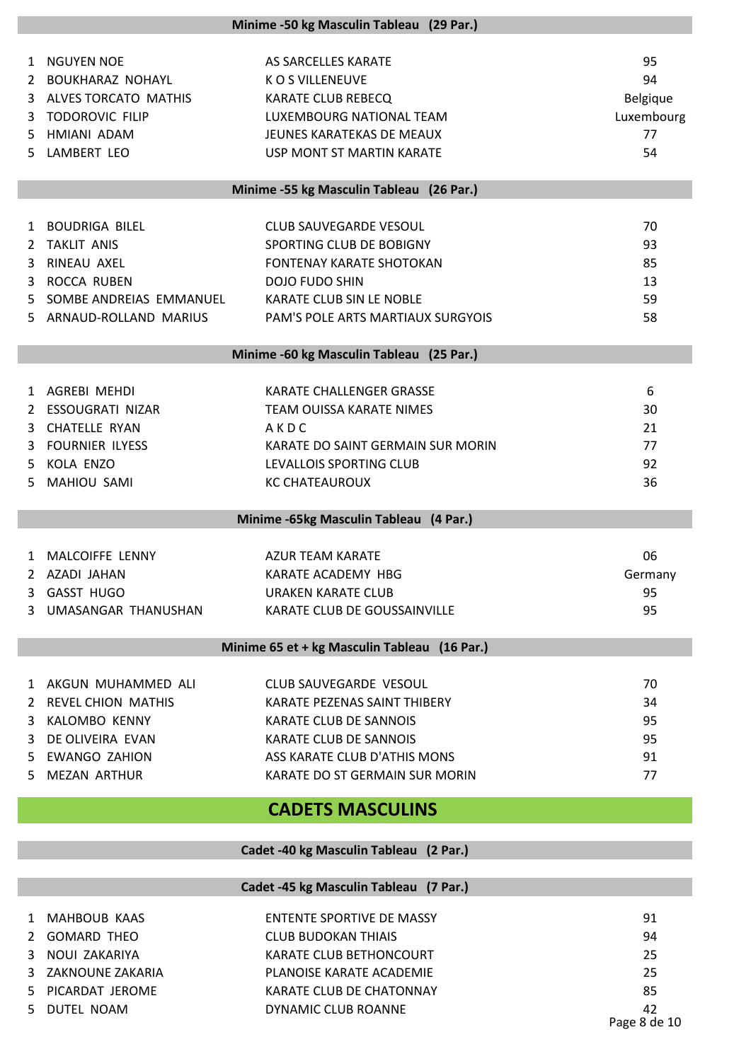|    |                                              | Minime -50 kg Masculin Tableau (29 Par.)       |                    |
|----|----------------------------------------------|------------------------------------------------|--------------------|
|    |                                              |                                                |                    |
|    | 1 NGUYEN NOE                                 | AS SARCELLES KARATE                            | 95                 |
|    | 2 BOUKHARAZ NOHAYL<br>3 ALVES TORCATO MATHIS | K O S VILLENEUVE                               | 94                 |
| 3  | <b>TODOROVIC FILIP</b>                       | KARATE CLUB REBECQ<br>LUXEMBOURG NATIONAL TEAM | Belgique           |
|    | 5 HMIANI ADAM                                | JEUNES KARATEKAS DE MEAUX                      | Luxembourg<br>77   |
| 5. | LAMBERT LEO                                  | USP MONT ST MARTIN KARATE                      | 54                 |
|    |                                              |                                                |                    |
|    |                                              | Minime -55 kg Masculin Tableau (26 Par.)       |                    |
|    | 1 BOUDRIGA BILEL                             | CLUB SAUVEGARDE VESOUL                         | 70                 |
| 2  | <b>TAKLIT ANIS</b>                           | SPORTING CLUB DE BOBIGNY                       | 93                 |
| 3  | RINEAU AXEL                                  | <b>FONTENAY KARATE SHOTOKAN</b>                | 85                 |
|    | 3 ROCCA RUBEN                                | <b>DOJO FUDO SHIN</b>                          | 13                 |
| 5. | SOMBE ANDREIAS EMMANUEL                      | KARATE CLUB SIN LE NOBLE                       | 59                 |
|    | 5 ARNAUD-ROLLAND MARIUS                      | PAM'S POLE ARTS MARTIAUX SURGYOIS              | 58                 |
|    |                                              |                                                |                    |
|    |                                              | Minime -60 kg Masculin Tableau (25 Par.)       |                    |
|    | 1 AGREBI MEHDI                               | KARATE CHALLENGER GRASSE                       | 6                  |
| 2  | ESSOUGRATI NIZAR                             | TEAM OUISSA KARATE NIMES                       | 30                 |
| 3. | <b>CHATELLE RYAN</b>                         | AKDC                                           | 21                 |
|    | 3 FOURNIER ILYESS                            | KARATE DO SAINT GERMAIN SUR MORIN              | 77                 |
|    | 5 KOLA ENZO                                  | LEVALLOIS SPORTING CLUB                        | 92                 |
| 5. | <b>MAHIOU SAMI</b>                           | <b>KC CHATEAUROUX</b>                          | 36                 |
|    |                                              | Minime -65kg Masculin Tableau (4 Par.)         |                    |
|    |                                              |                                                |                    |
|    | 1 MALCOIFFE LENNY                            | <b>AZUR TEAM KARATE</b>                        | 06                 |
|    | 2 AZADI JAHAN                                | KARATE ACADEMY HBG                             | Germany            |
|    | <b>GASST HUGO</b>                            | <b>URAKEN KARATE CLUB</b>                      | 95                 |
| 3  | UMASANGAR THANUSHAN                          | KARATE CLUB DE GOUSSAINVILLE                   | 95                 |
|    |                                              |                                                |                    |
|    |                                              | Minime 65 et + kg Masculin Tableau (16 Par.)   |                    |
|    | 1 AKGUN MUHAMMED ALI                         | CLUB SAUVEGARDE VESOUL                         | 70                 |
| 2  | <b>REVEL CHION MATHIS</b>                    | KARATE PEZENAS SAINT THIBERY                   | 34                 |
| 3  | <b>KALOMBO KENNY</b>                         | KARATE CLUB DE SANNOIS                         | 95                 |
| 3  | DE OLIVEIRA EVAN                             | KARATE CLUB DE SANNOIS                         | 95                 |
| 5. | <b>EWANGO ZAHION</b>                         | ASS KARATE CLUB D'ATHIS MONS                   | 91                 |
| 5. | <b>MEZAN ARTHUR</b>                          | KARATE DO ST GERMAIN SUR MORIN                 | 77                 |
|    |                                              | <b>CADETS MASCULINS</b>                        |                    |
|    |                                              |                                                |                    |
|    |                                              | Cadet -40 kg Masculin Tableau (2 Par.)         |                    |
|    |                                              | Cadet -45 kg Masculin Tableau (7 Par.)         |                    |
|    |                                              |                                                |                    |
| 1  | <b>MAHBOUB KAAS</b>                          | <b>ENTENTE SPORTIVE DE MASSY</b>               | 91                 |
| 2  | <b>GOMARD THEO</b>                           | <b>CLUB BUDOKAN THIAIS</b>                     | 94                 |
| 3  | NOUI ZAKARIYA                                | KARATE CLUB BETHONCOURT                        | 25                 |
| 3  | ZAKNOUNE ZAKARIA                             | PLANOISE KARATE ACADEMIE                       | 25                 |
| 5. | PICARDAT JEROME                              | KARATE CLUB DE CHATONNAY                       | 85                 |
| 5. | DUTEL NOAM                                   | DYNAMIC CLUB ROANNE                            | 42<br>Page 8 de 10 |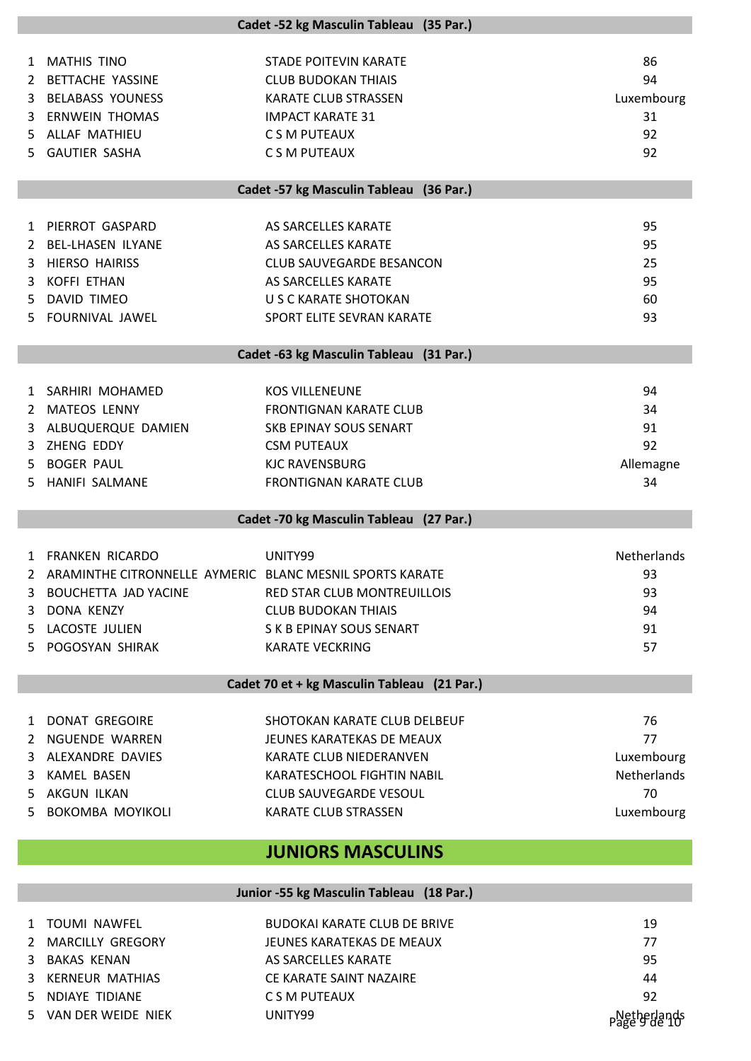| <b>MATHIS TINO</b><br>86<br>STADE POITEVIN KARATE<br>$\mathbf{1}$<br>94<br>2 BETTACHE YASSINE<br><b>CLUB BUDOKAN THIAIS</b><br><b>BELABASS YOUNESS</b><br><b>KARATE CLUB STRASSEN</b><br>Luxembourg<br>3<br><b>ERNWEIN THOMAS</b><br>31<br><b>IMPACT KARATE 31</b><br>3 |  |  |  |  |
|-------------------------------------------------------------------------------------------------------------------------------------------------------------------------------------------------------------------------------------------------------------------------|--|--|--|--|
|                                                                                                                                                                                                                                                                         |  |  |  |  |
|                                                                                                                                                                                                                                                                         |  |  |  |  |
|                                                                                                                                                                                                                                                                         |  |  |  |  |
| 5 ALLAF MATHIEU<br>92<br>C S M PUTEAUX                                                                                                                                                                                                                                  |  |  |  |  |
| <b>GAUTIER SASHA</b><br>C S M PUTEAUX<br>92<br>5.                                                                                                                                                                                                                       |  |  |  |  |
|                                                                                                                                                                                                                                                                         |  |  |  |  |
| Cadet -57 kg Masculin Tableau (36 Par.)                                                                                                                                                                                                                                 |  |  |  |  |
| PIERROT GASPARD<br>95<br>AS SARCELLES KARATE<br>1                                                                                                                                                                                                                       |  |  |  |  |
| 95<br><b>BEL-LHASEN ILYANE</b><br>AS SARCELLES KARATE<br>2                                                                                                                                                                                                              |  |  |  |  |
| <b>HIERSO HAIRISS</b><br><b>CLUB SAUVEGARDE BESANCON</b><br>25<br>3                                                                                                                                                                                                     |  |  |  |  |
| <b>KOFFI ETHAN</b><br>AS SARCELLES KARATE<br>95<br>3                                                                                                                                                                                                                    |  |  |  |  |
| 60<br>DAVID TIMEO<br>U S C KARATE SHOTOKAN<br>5                                                                                                                                                                                                                         |  |  |  |  |
| <b>FOURNIVAL JAWEL</b><br>SPORT ELITE SEVRAN KARATE<br>93<br>5.                                                                                                                                                                                                         |  |  |  |  |
|                                                                                                                                                                                                                                                                         |  |  |  |  |
| Cadet -63 kg Masculin Tableau (31 Par.)                                                                                                                                                                                                                                 |  |  |  |  |
| 94<br>1 SARHIRI MOHAMED<br><b>KOS VILLENEUNE</b>                                                                                                                                                                                                                        |  |  |  |  |
| <b>MATEOS LENNY</b><br><b>FRONTIGNAN KARATE CLUB</b><br>34<br>2                                                                                                                                                                                                         |  |  |  |  |
| 91<br>ALBUQUERQUE DAMIEN<br>SKB EPINAY SOUS SENART<br>3                                                                                                                                                                                                                 |  |  |  |  |
| ZHENG EDDY<br>92<br><b>CSM PUTEAUX</b><br>3                                                                                                                                                                                                                             |  |  |  |  |
| <b>BOGER PAUL</b><br><b>KJC RAVENSBURG</b><br>Allemagne<br>5                                                                                                                                                                                                            |  |  |  |  |
| HANIFI SALMANE<br><b>FRONTIGNAN KARATE CLUB</b><br>34<br>5.                                                                                                                                                                                                             |  |  |  |  |
|                                                                                                                                                                                                                                                                         |  |  |  |  |
| Cadet -70 kg Masculin Tableau (27 Par.)                                                                                                                                                                                                                                 |  |  |  |  |
| Netherlands<br>1 FRANKEN RICARDO<br>UNITY99                                                                                                                                                                                                                             |  |  |  |  |
| ARAMINTHE CITRONNELLE AYMERIC BLANC MESNIL SPORTS KARATE<br>93<br>2                                                                                                                                                                                                     |  |  |  |  |
| 93<br>BOUCHETTA JAD YACINE<br><b>RED STAR CLUB MONTREUILLOIS</b><br>3                                                                                                                                                                                                   |  |  |  |  |
| DONA KENZY<br><b>CLUB BUDOKAN THIAIS</b><br>94<br>3                                                                                                                                                                                                                     |  |  |  |  |
| LACOSTE JULIEN<br>S K B EPINAY SOUS SENART<br>91<br>5.                                                                                                                                                                                                                  |  |  |  |  |
| POGOSYAN SHIRAK<br>57<br><b>KARATE VECKRING</b><br>5.                                                                                                                                                                                                                   |  |  |  |  |
|                                                                                                                                                                                                                                                                         |  |  |  |  |
| Cadet 70 et + kg Masculin Tableau (21 Par.)                                                                                                                                                                                                                             |  |  |  |  |
| <b>DONAT GREGOIRE</b><br>SHOTOKAN KARATE CLUB DELBEUF<br>76<br>$\mathbf{1}$                                                                                                                                                                                             |  |  |  |  |
| 2 NGUENDE WARREN<br>77<br>JEUNES KARATEKAS DE MEAUX                                                                                                                                                                                                                     |  |  |  |  |
| KARATE CLUB NIEDERANVEN<br>Luxembourg<br>ALEXANDRE DAVIES<br>3                                                                                                                                                                                                          |  |  |  |  |
| <b>KAMEL BASEN</b><br>Netherlands<br>KARATESCHOOL FIGHTIN NABIL<br>3                                                                                                                                                                                                    |  |  |  |  |
| <b>AKGUN ILKAN</b><br>70<br><b>CLUB SAUVEGARDE VESOUL</b><br>5                                                                                                                                                                                                          |  |  |  |  |
| BOKOMBA MOYIKOLI<br>Luxembourg<br>KARATE CLUB STRASSEN<br>5.                                                                                                                                                                                                            |  |  |  |  |
|                                                                                                                                                                                                                                                                         |  |  |  |  |
| <b>JUNIORS MASCULINS</b>                                                                                                                                                                                                                                                |  |  |  |  |
| Junior -55 kg Masculin Tableau (18 Par.)                                                                                                                                                                                                                                |  |  |  |  |
| <b>BUDOKAI KARATE CLUB DE BRIVE</b><br>1 TOUMI NAWFEL<br>19                                                                                                                                                                                                             |  |  |  |  |
| 77<br><b>MARCILLY GREGORY</b><br>JEUNES KARATEKAS DE MEAUX<br>$\overline{2}$                                                                                                                                                                                            |  |  |  |  |
| 95<br><b>BAKAS KENAN</b><br>AS SARCELLES KARATE<br>3                                                                                                                                                                                                                    |  |  |  |  |
|                                                                                                                                                                                                                                                                         |  |  |  |  |
| <b>KERNEUR MATHIAS</b><br>CE KARATE SAINT NAZAIRE<br>44<br>3                                                                                                                                                                                                            |  |  |  |  |
| NDIAYE TIDIANE<br>92<br>C S M PUTEAUX<br>5                                                                                                                                                                                                                              |  |  |  |  |